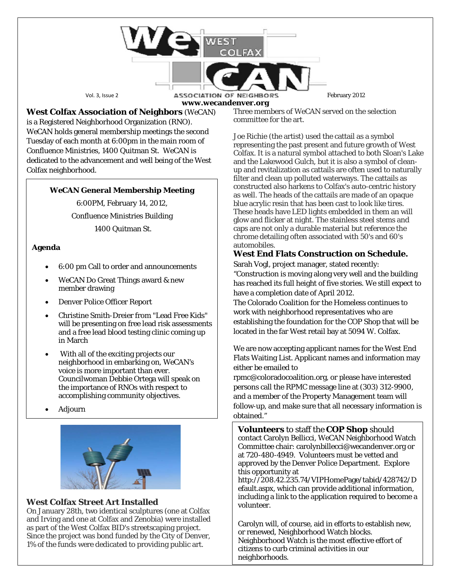Vol. 3, Issue 2 **ASSOCIATION OF NEIGHBORS** February 2012

**www.wecandenver.org West Colfax Association of Neighbors** (*WeCAN*)

is a Registered Neighborhood Organization (RNO). *WeCAN* holds general membership meetings the second Tuesday of each month at 6:00pm in the main room of Confluence Ministries, 1400 Quitman St. WeCAN is dedicated to the advancement and well being of the West Colfax neighborhood.

### *WeCAN* **General Membership Meeting**

6:00PM, February 14, 2012, Confluence Ministries Building 1400 Quitman St.

### **Agenda**

- 6:00 pm Call to order and announcements
- WeCAN Do Great Things award & new member drawing
- Denver Police Officer Report
- Christine Smith-Dreier from "Lead Free Kids" will be presenting on free lead risk assessments and a free lead blood testing clinic coming up in March
- With all of the exciting projects our neighborhood in embarking on, *WeCAN's*  voice is more important than ever. Councilwoman Debbie Ortega will speak on the importance of RNOs with respect to accomplishing community objectives.
- Adjourn



## **West Colfax Street Art Installed**

On January 28th, two identical sculptures (one at Colfax and Irving and one at Colfax and Zenobia) were installed as part of the West Colfax BID's streetscaping project. Since the project was bond funded by the City of Denver, 1% of the funds were dedicated to providing public art.

Three members of WeCAN served on the selection committee for the art.

Joe Richie (the artist) used the cattail as a symbol representing the past present and future growth of West Colfax. It is a natural symbol attached to both Sloan's Lake and the Lakewood Gulch, but it is also a symbol of cleanup and revitalization as cattails are often used to naturally filter and clean up polluted waterways. The cattails as constructed also harkens to Colfax's auto-centric history as well. The heads of the cattails are made of an opaque blue acrylic resin that has been cast to look like tires. These heads have LED lights embedded in them an will glow and flicker at night. The stainless steel stems and caps are not only a durable material but reference the chrome detailing often associated with 50's and 60's automobiles.

# **West End Flats Construction on Schedule.**

Sarah Vogl, project manager, stated recently: "Construction is moving along very well and the building has reached its full height of five stories. We still expect to have a completion date of April 2012.

The Colorado Coalition for the Homeless continues to work with neighborhood representatives who are establishing the foundation for the COP Shop that will be located in the far West retail bay at 5094 W. Colfax.

We are now accepting applicant names for the West End Flats Waiting List. Applicant names and information may either be emailed to

rpmc@coloradocoalition.org, or please have interested persons call the RPMC message line at (303) 312-9900, and a member of the Property Management team will follow-up, and make sure that all necessary information is obtained."

**Volunteers** to staff the **COP Shop** should contact Carolyn Bellicci, WeCAN Neighborhood Watch Committee chair: carolynbillecci@wecandenver.org or at 720-480-4949. Volunteers must be vetted and approved by the Denver Police Department. Explore this opportunity at

http://208.42.235.74/VIPHomePage/tabid/428742/D efault.aspx, which can provide additional information, including a link to the application required to become a volunteer.

Carolyn will, of course, aid in efforts to establish new, or renewed, Neighborhood Watch blocks. Neighborhood Watch is the most effective effort of citizens to curb criminal activities in our neighborhoods.